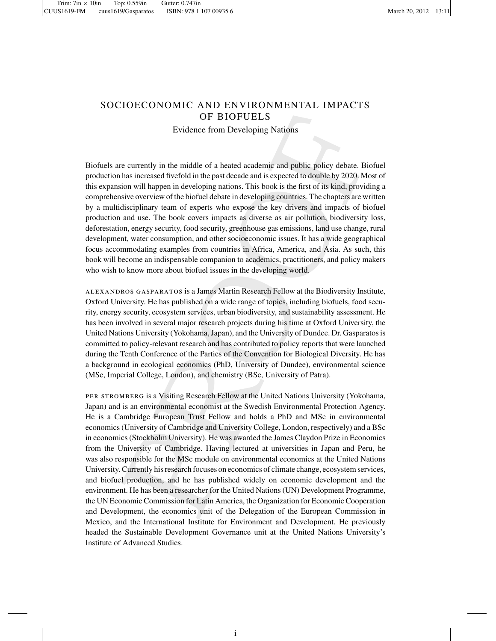### SOC IOECONOM IC AND ENV IRONMENTAL IMPACTS OF BIOFUELS

Evidence from Developing Nations

Biofuels are currently in the middle of a heated academic and public policy debate. Biofuel production has increased fivefold in the past decade and is expected to double by 2020. Most of this expansion will happen in developing nations. This book is the first of its kind, providing a comprehensive overview of the biofuel debate in developing countries. The chapters are written by a multidisciplinary team of experts who expose the key drivers and impacts of biofuel production and use. The book covers impacts as diverse as air pollution, biodiversity loss, deforestation, energy security, food security, greenhouse gas emissions, land use change, rural development, water consumption, and other socioeconomic issues. It has a wide geographical focus accommodating examples from countries in Africa, America, and Asia. As such, this book will become an indispensable companion to academics, practitioners, and policy makers who wish to know more about biofuel issues in the developing world.

alexandros gasparatos is a James Martin Research Fellow at the Biodiversity Institute, Oxford University. He has published on a wide range of topics, including biofuels, food security, energy security, ecosystem services, urban biodiversity, and sustainability assessment. He has been involved in several major research projects during his time at Oxford University, the United Nations University (Yokohama, Japan), and the University of Dundee. Dr. Gasparatos is committed to policy-relevant research and has contributed to policy reports that were launched during the Tenth Conference of the Parties of the Convention for Biological Diversity. He has a background in ecological economics (PhD, University of Dundee), environmental science (MSc, Imperial College, London), and chemistry (BSc, University of Patra).

per stromberg is a Visiting Research Fellow at the United Nations University (Yokohama, Japan) and is an environmental economist at the Swedish Environmental Protection Agency. He is a Cambridge European Trust Fellow and holds a PhD and MSc in environmental economics (University of Cambridge and University College, London, respectively) and a BSc in economics (Stockholm University). He was awarded the James Claydon Prize in Economics from the University of Cambridge. Having lectured at universities in Japan and Peru, he was also responsible for the MSc module on environmental economics at the United Nations University. Currently his research focuses on economics of climate change, ecosystem services, and biofuel production, and he has published widely on economic development and the environment. He has been a researcher for the United Nations (UN) Development Programme, the UN Economic Commission for Latin America, the Organization for Economic Cooperation and Development, the economics unit of the Delegation of the European Commission in Mexico, and the International Institute for Environment and Development. He previously headed the Sustainable Development Governance unit at the United Nations University's Institute of Advanced Studies.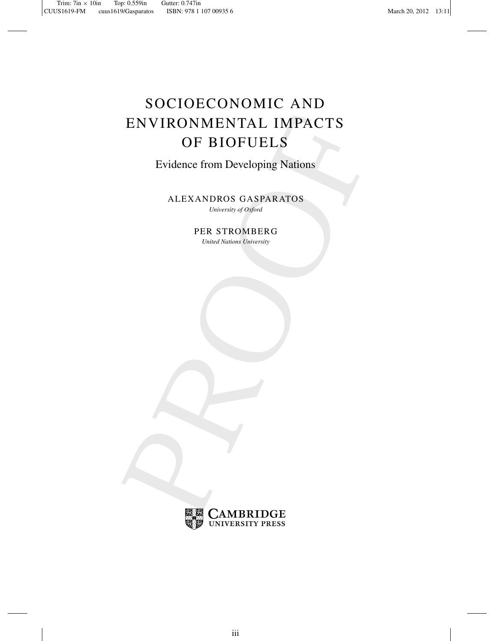# SOCIOECONOMIC AND ENV IRONMENTAL IMPACTS OF BIOFUELS

Evidence from Developing Nations

ALEXANDROS GASPARATOS *University of Oxford*

> PER STROMBERG *United Nations University*

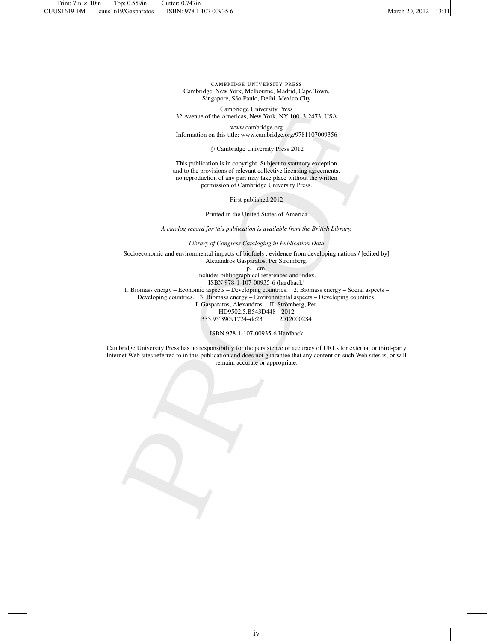cambridge university press Cambridge, New York, Melbourne, Madrid, Cape Town, Singapore, São Paulo, Delhi, Mexico City Cambridge University Press

32 Avenue of the Americas, New York, NY 10013-2473, USA

www.cambridge.org Information on this title: www.cambridge.org/9781107009356

© Cambridge University Press 2012

This publication is in copyright. Subject to statutory exception and to the provisions of relevant collective licensing agreements, no reproduction of any part may take place without the written permission of Cambridge University Press.

First published 2012

Printed in the United States of America

*A catalog record for this publication is available from the British Library.*

*Library of Congress Cataloging in Publication Data*

Socioeconomic and environmental impacts of biofuels : evidence from developing nations / [edited by] Alexandros Gasparatos, Per Stromberg. p. cm. Includes bibliographical references and index. ISBN 978-1-107-00935-6 (hardback) 1. Biomass energy – Economic aspects – Developing countries. 2. Biomass energy – Social aspects – Developing countries. 3. Biomass energy – Environmental aspects – Developing countries. I. Gasparatos, Alexandros. II. Strömberg, Per. HD9502.5.B543D448 2012<br>  $5'39091724 - d c 23$  2012000284 333.95 39091724–dc23 2012000284

ISBN 978-1-107-00935-6 Hardback

Cambridge University Press has no responsibility for the persistence or accuracy of URLs for external or third-party Internet Web sites referred to in this publication and does not guarantee that any content on such Web sites is, or will remain, accurate or appropriate.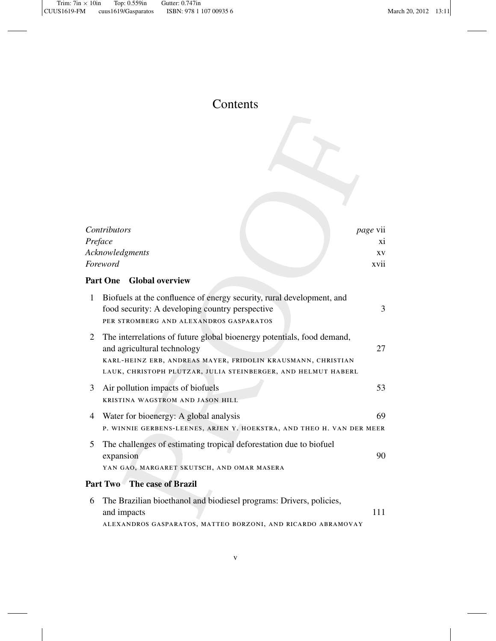**Contents** *Contributors page* vii *Preface* xi *Acknowledgments* xv *Foreword* xvii **Part One Global overview** 1 Biofuels at the confluence of energy security, rural development, and food security: A developing country perspective 3 per stromberg and alexandros gasparatos 2 The interrelations of future global bioenergy potentials, food demand, and agricultural technology 27 karl-heinz erb, andreas mayer, fridolin krausmann, christian lauk, christoph plutzar, julia steinberger, and helmut haberl 3 Air pollution impacts of biofuels 53 kristina wagstrom and jason hill 4 Water for bioenergy: A global analysis 69 p. winnie gerbens-leenes, arjen y. hoekstra, and theo h. van der meer 5 The challenges of estimating tropical deforestation due to biofuel expansion 90 yan gao, margaret skutsch, and omar masera **Part Two The case of Brazil** 6 The Brazilian bioethanol and biodiesel programs: Drivers, policies, and impacts 111 alexandros gasparatos, matteo borzoni, and ricardo abramovay

v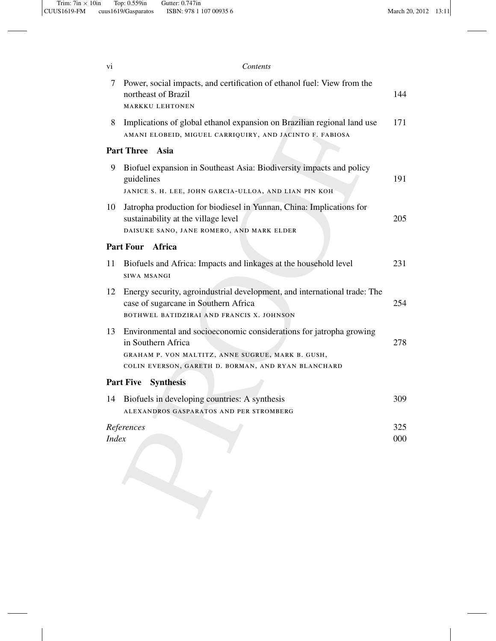$\overline{\phantom{a}}$ 

| vi                                   | Contents                                                                                                                                                                                              |            |
|--------------------------------------|-------------------------------------------------------------------------------------------------------------------------------------------------------------------------------------------------------|------------|
| 7                                    | Power, social impacts, and certification of ethanol fuel: View from the<br>northeast of Brazil<br><b>MARKKU LEHTONEN</b>                                                                              | 144        |
| 8                                    | Implications of global ethanol expansion on Brazilian regional land use<br>AMANI ELOBEID, MIGUEL CARRIQUIRY, AND JACINTO F. FABIOSA                                                                   | 171        |
| <b>Part Three</b><br>Asia            |                                                                                                                                                                                                       |            |
| 9                                    | Biofuel expansion in Southeast Asia: Biodiversity impacts and policy<br>guidelines<br>JANICE S. H. LEE, JOHN GARCIA-ULLOA, AND LIAN PIN KOH                                                           | 191        |
| 10                                   | Jatropha production for biodiesel in Yunnan, China: Implications for<br>sustainability at the village level<br>DAISUKE SANO, JANE ROMERO, AND MARK ELDER                                              | 205        |
| <b>Part Four</b><br>Africa           |                                                                                                                                                                                                       |            |
| 11                                   | Biofuels and Africa: Impacts and linkages at the household level<br>SIWA MSANGI                                                                                                                       | 231        |
| 12                                   | Energy security, agroindustrial development, and international trade: The<br>case of sugarcane in Southern Africa<br>BOTHWEL BATIDZIRAI AND FRANCIS X. JOHNSON                                        | 254        |
| 13                                   | Environmental and socioeconomic considerations for jatropha growing<br>in Southern Africa<br>GRAHAM P. VON MALTITZ, ANNE SUGRUE, MARK B. GUSH,<br>COLIN EVERSON, GARETH D. BORMAN, AND RYAN BLANCHARD | 278        |
| <b>Part Five</b><br><b>Synthesis</b> |                                                                                                                                                                                                       |            |
| 14                                   | Biofuels in developing countries: A synthesis<br>ALEXANDROS GASPARATOS AND PER STROMBERG                                                                                                              | 309        |
| <b>Index</b>                         | References                                                                                                                                                                                            | 325<br>000 |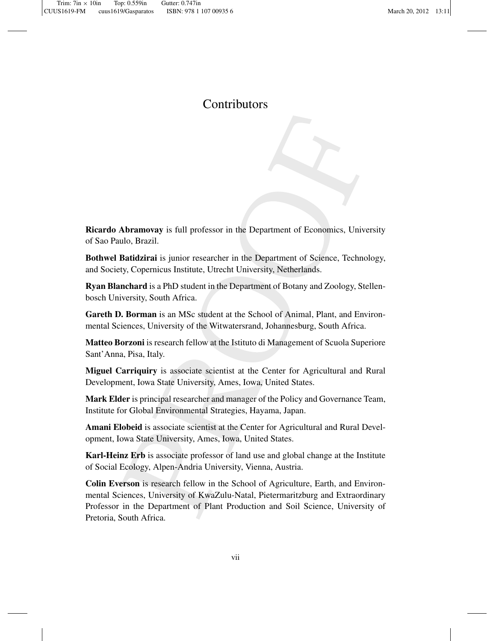Contributors

**Ricardo Abramovay** is full professor in the Department of Economics, University of Sao Paulo, Brazil.

**Bothwel Batidzirai** is junior researcher in the Department of Science, Technology, and Society, Copernicus Institute, Utrecht University, Netherlands.

**Ryan Blanchard** is a PhD student in the Department of Botany and Zoology, Stellenbosch University, South Africa.

**Gareth D. Borman** is an MSc student at the School of Animal, Plant, and Environmental Sciences, University of the Witwatersrand, Johannesburg, South Africa.

**Matteo Borzoni** is research fellow at the Istituto di Management of Scuola Superiore Sant'Anna, Pisa, Italy.

**Miguel Carriquiry** is associate scientist at the Center for Agricultural and Rural Development, Iowa State University, Ames, Iowa, United States.

**Mark Elder** is principal researcher and manager of the Policy and Governance Team, Institute for Global Environmental Strategies, Hayama, Japan.

**Amani Elobeid** is associate scientist at the Center for Agricultural and Rural Development, Iowa State University, Ames, Iowa, United States.

**Karl-Heinz Erb** is associate professor of land use and global change at the Institute of Social Ecology, Alpen-Andria University, Vienna, Austria.

**Colin Everson** is research fellow in the School of Agriculture, Earth, and Environmental Sciences, University of KwaZulu-Natal, Pietermaritzburg and Extraordinary Professor in the Department of Plant Production and Soil Science, University of Pretoria, South Africa.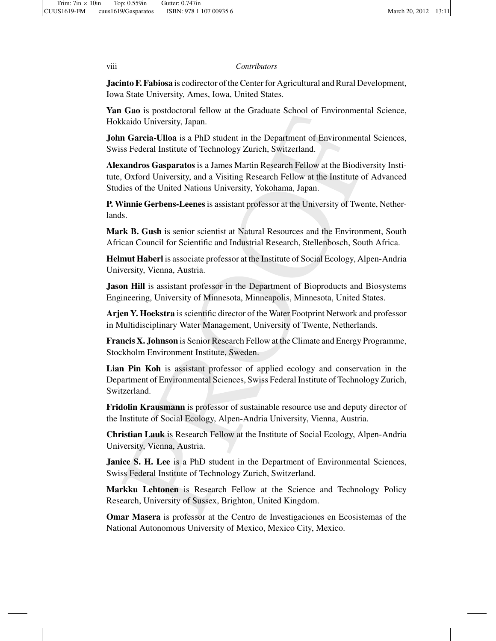#### viii *Contributors*

**Jacinto F. Fabiosa** is codirector of the Center for Agricultural and Rural Development, Iowa State University, Ames, Iowa, United States.

**Yan Gao** is postdoctoral fellow at the Graduate School of Environmental Science, Hokkaido University, Japan.

**John Garcia-Ulloa** is a PhD student in the Department of Environmental Sciences, Swiss Federal Institute of Technology Zurich, Switzerland.

**Alexandros Gasparatos** is a James Martin Research Fellow at the Biodiversity Institute, Oxford University, and a Visiting Research Fellow at the Institute of Advanced Studies of the United Nations University, Yokohama, Japan.

**P. Winnie Gerbens-Leenes**is assistant professor at the University of Twente, Netherlands.

**Mark B. Gush** is senior scientist at Natural Resources and the Environment, South African Council for Scientific and Industrial Research, Stellenbosch, South Africa.

**Helmut Haberl** is associate professor at the Institute of Social Ecology, Alpen-Andria University, Vienna, Austria.

**Jason Hill** is assistant professor in the Department of Bioproducts and Biosystems Engineering, University of Minnesota, Minneapolis, Minnesota, United States.

**Arjen Y. Hoekstra** is scientific director of the Water Footprint Network and professor in Multidisciplinary Water Management, University of Twente, Netherlands.

**Francis X. Johnson** is Senior Research Fellow at the Climate and Energy Programme, Stockholm Environment Institute, Sweden.

**Lian Pin Koh** is assistant professor of applied ecology and conservation in the Department of Environmental Sciences, Swiss Federal Institute of Technology Zurich, Switzerland.

**Fridolin Krausmann** is professor of sustainable resource use and deputy director of the Institute of Social Ecology, Alpen-Andria University, Vienna, Austria.

**Christian Lauk** is Research Fellow at the Institute of Social Ecology, Alpen-Andria University, Vienna, Austria.

Janice S. H. Lee is a PhD student in the Department of Environmental Sciences, Swiss Federal Institute of Technology Zurich, Switzerland.

**Markku Lehtonen** is Research Fellow at the Science and Technology Policy Research, University of Sussex, Brighton, United Kingdom.

**Omar Masera** is professor at the Centro de Investigaciones en Ecosistemas of the National Autonomous University of Mexico, Mexico City, Mexico.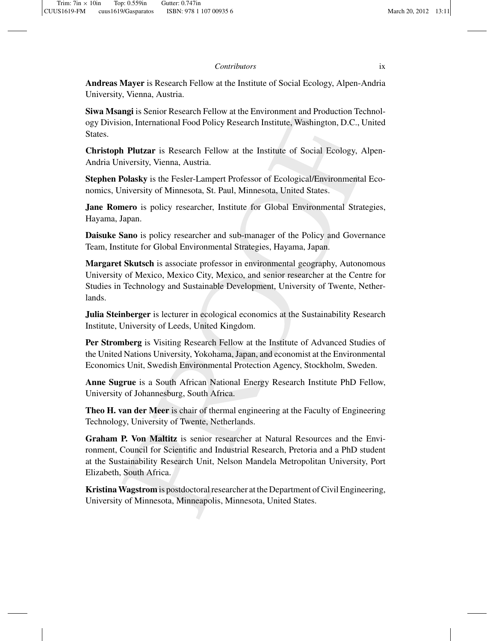#### *Contributors* ix

**Andreas Mayer** is Research Fellow at the Institute of Social Ecology, Alpen-Andria University, Vienna, Austria.

**Siwa Msangi** is Senior Research Fellow at the Environment and Production Technology Division, International Food Policy Research Institute, Washington, D.C., United States.

**Christoph Plutzar** is Research Fellow at the Institute of Social Ecology, Alpen-Andria University, Vienna, Austria.

**Stephen Polasky** is the Fesler-Lampert Professor of Ecological/Environmental Economics, University of Minnesota, St. Paul, Minnesota, United States.

**Jane Romero** is policy researcher, Institute for Global Environmental Strategies, Hayama, Japan.

**Daisuke Sano** is policy researcher and sub-manager of the Policy and Governance Team, Institute for Global Environmental Strategies, Hayama, Japan.

**Margaret Skutsch** is associate professor in environmental geography, Autonomous University of Mexico, Mexico City, Mexico, and senior researcher at the Centre for Studies in Technology and Sustainable Development, University of Twente, Netherlands.

**Julia Steinberger** is lecturer in ecological economics at the Sustainability Research Institute, University of Leeds, United Kingdom.

**Per Stromberg** is Visiting Research Fellow at the Institute of Advanced Studies of the United Nations University, Yokohama, Japan, and economist at the Environmental Economics Unit, Swedish Environmental Protection Agency, Stockholm, Sweden.

**Anne Sugrue** is a South African National Energy Research Institute PhD Fellow, University of Johannesburg, South Africa.

**Theo H. van der Meer** is chair of thermal engineering at the Faculty of Engineering Technology, University of Twente, Netherlands.

**Graham P. Von Maltitz** is senior researcher at Natural Resources and the Environment, Council for Scientific and Industrial Research, Pretoria and a PhD student at the Sustainability Research Unit, Nelson Mandela Metropolitan University, Port Elizabeth, South Africa.

**KristinaWagstrom** is postdoctoral researcher at the Department of Civil Engineering, University of Minnesota, Minneapolis, Minnesota, United States.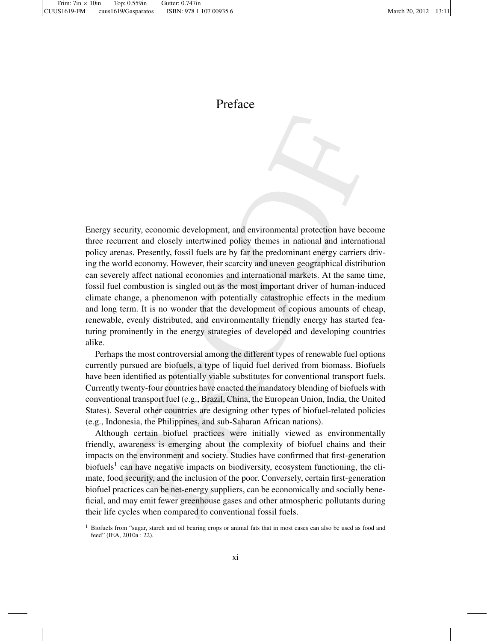## Preface

Energy security, economic development, and environmental protection have become three recurrent and closely intertwined policy themes in national and international policy arenas. Presently, fossil fuels are by far the predominant energy carriers driving the world economy. However, their scarcity and uneven geographical distribution can severely affect national economies and international markets. At the same time, fossil fuel combustion is singled out as the most important driver of human-induced climate change, a phenomenon with potentially catastrophic effects in the medium and long term. It is no wonder that the development of copious amounts of cheap, renewable, evenly distributed, and environmentally friendly energy has started featuring prominently in the energy strategies of developed and developing countries alike.

Perhaps the most controversial among the different types of renewable fuel options currently pursued are biofuels, a type of liquid fuel derived from biomass. Biofuels have been identified as potentially viable substitutes for conventional transport fuels. Currently twenty-four countries have enacted the mandatory blending of biofuels with conventional transport fuel (e.g., Brazil, China, the European Union, India, the United States). Several other countries are designing other types of biofuel-related policies (e.g., Indonesia, the Philippines, and sub-Saharan African nations).

Although certain biofuel practices were initially viewed as environmentally friendly, awareness is emerging about the complexity of biofuel chains and their impacts on the environment and society. Studies have confirmed that first-generation biofuels<sup>1</sup> can have negative impacts on biodiversity, ecosystem functioning, the climate, food security, and the inclusion of the poor. Conversely, certain first-generation biofuel practices can be net-energy suppliers, can be economically and socially beneficial, and may emit fewer greenhouse gases and other atmospheric pollutants during their life cycles when compared to conventional fossil fuels.

<sup>&</sup>lt;sup>1</sup> Biofuels from "sugar, starch and oil bearing crops or animal fats that in most cases can also be used as food and feed" (IEA, 2010a : 22).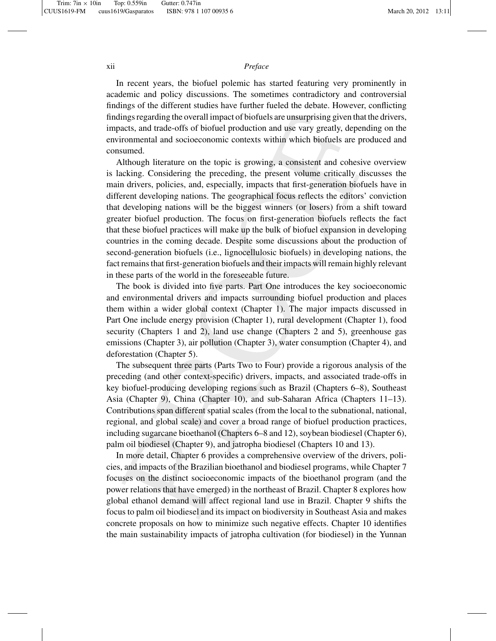#### xii *Preface*

In recent years, the biofuel polemic has started featuring very prominently in academic and policy discussions. The sometimes contradictory and controversial findings of the different studies have further fueled the debate. However, conflicting findings regarding the overall impact of biofuels are unsurprising given that the drivers, impacts, and trade-offs of biofuel production and use vary greatly, depending on the environmental and socioeconomic contexts within which biofuels are produced and consumed.

Although literature on the topic is growing, a consistent and cohesive overview is lacking. Considering the preceding, the present volume critically discusses the main drivers, policies, and, especially, impacts that first-generation biofuels have in different developing nations. The geographical focus reflects the editors' conviction that developing nations will be the biggest winners (or losers) from a shift toward greater biofuel production. The focus on first-generation biofuels reflects the fact that these biofuel practices will make up the bulk of biofuel expansion in developing countries in the coming decade. Despite some discussions about the production of second-generation biofuels (i.e., lignocellulosic biofuels) in developing nations, the fact remains that first-generation biofuels and their impacts will remain highly relevant in these parts of the world in the foreseeable future.

The book is divided into five parts. Part One introduces the key socioeconomic and environmental drivers and impacts surrounding biofuel production and places them within a wider global context (Chapter 1). The major impacts discussed in Part One include energy provision (Chapter 1), rural development (Chapter 1), food security (Chapters 1 and 2), land use change (Chapters 2 and 5), greenhouse gas emissions (Chapter 3), air pollution (Chapter 3), water consumption (Chapter 4), and deforestation (Chapter 5).

The subsequent three parts (Parts Two to Four) provide a rigorous analysis of the preceding (and other context-specific) drivers, impacts, and associated trade-offs in key biofuel-producing developing regions such as Brazil (Chapters 6–8), Southeast Asia (Chapter 9), China (Chapter 10), and sub-Saharan Africa (Chapters 11–13). Contributions span different spatial scales (from the local to the subnational, national, regional, and global scale) and cover a broad range of biofuel production practices, including sugarcane bioethanol (Chapters 6–8 and 12), soybean biodiesel (Chapter 6), palm oil biodiesel (Chapter 9), and jatropha biodiesel (Chapters 10 and 13).

In more detail, Chapter 6 provides a comprehensive overview of the drivers, policies, and impacts of the Brazilian bioethanol and biodiesel programs, while Chapter 7 focuses on the distinct socioeconomic impacts of the bioethanol program (and the power relations that have emerged) in the northeast of Brazil. Chapter 8 explores how global ethanol demand will affect regional land use in Brazil. Chapter 9 shifts the focus to palm oil biodiesel and its impact on biodiversity in Southeast Asia and makes concrete proposals on how to minimize such negative effects. Chapter 10 identifies the main sustainability impacts of jatropha cultivation (for biodiesel) in the Yunnan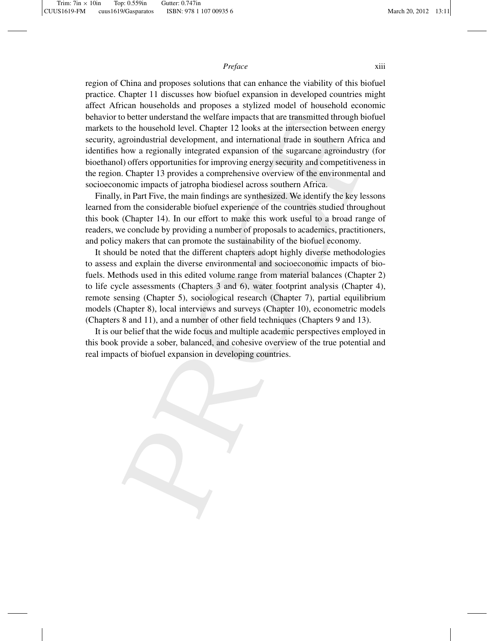### *Preface* xiii

region of China and proposes solutions that can enhance the viability of this biofuel practice. Chapter 11 discusses how biofuel expansion in developed countries might affect African households and proposes a stylized model of household economic behavior to better understand the welfare impacts that are transmitted through biofuel markets to the household level. Chapter 12 looks at the intersection between energy security, agroindustrial development, and international trade in southern Africa and identifies how a regionally integrated expansion of the sugarcane agroindustry (for bioethanol) offers opportunities for improving energy security and competitiveness in the region. Chapter 13 provides a comprehensive overview of the environmental and socioeconomic impacts of jatropha biodiesel across southern Africa.

Finally, in Part Five, the main findings are synthesized. We identify the key lessons learned from the considerable biofuel experience of the countries studied throughout this book (Chapter 14). In our effort to make this work useful to a broad range of readers, we conclude by providing a number of proposals to academics, practitioners, and policy makers that can promote the sustainability of the biofuel economy.

It should be noted that the different chapters adopt highly diverse methodologies to assess and explain the diverse environmental and socioeconomic impacts of biofuels. Methods used in this edited volume range from material balances (Chapter 2) to life cycle assessments (Chapters 3 and 6), water footprint analysis (Chapter 4), remote sensing (Chapter 5), sociological research (Chapter 7), partial equilibrium models (Chapter 8), local interviews and surveys (Chapter 10), econometric models (Chapters 8 and 11), and a number of other field techniques (Chapters 9 and 13).

It is our belief that the wide focus and multiple academic perspectives employed in this book provide a sober, balanced, and cohesive overview of the true potential and real impacts of biofuel expansion in developing countries.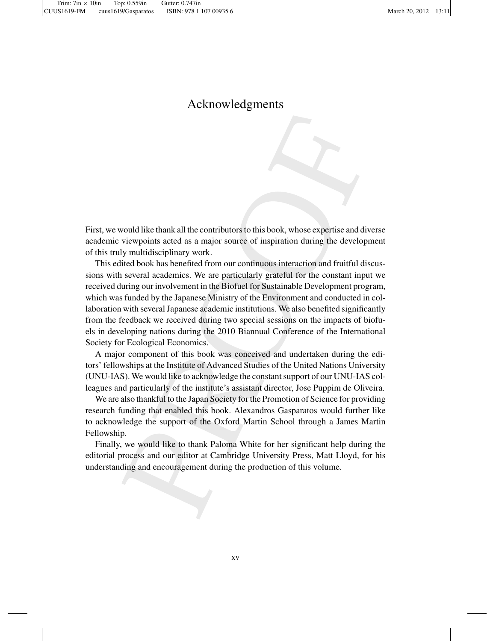## Acknowledgments

First, we would like thank all the contributors to this book, whose expertise and diverse academic viewpoints acted as a major source of inspiration during the development of this truly multidisciplinary work.

This edited book has benefited from our continuous interaction and fruitful discussions with several academics. We are particularly grateful for the constant input we received during our involvement in the Biofuel for Sustainable Development program, which was funded by the Japanese Ministry of the Environment and conducted in collaboration with several Japanese academic institutions. We also benefited significantly from the feedback we received during two special sessions on the impacts of biofuels in developing nations during the 2010 Biannual Conference of the International Society for Ecological Economics.

A major component of this book was conceived and undertaken during the editors' fellowships at the Institute of Advanced Studies of the United Nations University (UNU-IAS). We would like to acknowledge the constant support of our UNU-IAS colleagues and particularly of the institute's assistant director, Jose Puppim de Oliveira.

We are also thankful to the Japan Society for the Promotion of Science for providing research funding that enabled this book. Alexandros Gasparatos would further like to acknowledge the support of the Oxford Martin School through a James Martin Fellowship.

Finally, we would like to thank Paloma White for her significant help during the editorial process and our editor at Cambridge University Press, Matt Lloyd, for his understanding and encouragement during the production of this volume.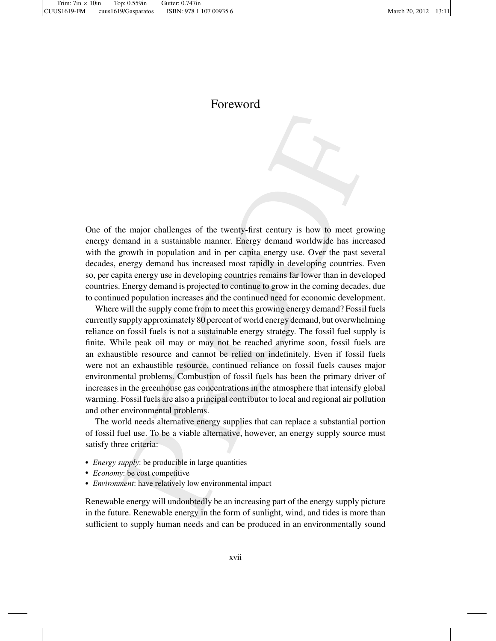## Foreword

One of the major challenges of the twenty-first century is how to meet growing energy demand in a sustainable manner. Energy demand worldwide has increased with the growth in population and in per capita energy use. Over the past several decades, energy demand has increased most rapidly in developing countries. Even so, per capita energy use in developing countries remains far lower than in developed countries. Energy demand is projected to continue to grow in the coming decades, due to continued population increases and the continued need for economic development.

Where will the supply come from to meet this growing energy demand? Fossil fuels currently supply approximately 80 percent of world energy demand, but overwhelming reliance on fossil fuels is not a sustainable energy strategy. The fossil fuel supply is finite. While peak oil may or may not be reached anytime soon, fossil fuels are an exhaustible resource and cannot be relied on indefinitely. Even if fossil fuels were not an exhaustible resource, continued reliance on fossil fuels causes major environmental problems. Combustion of fossil fuels has been the primary driver of increases in the greenhouse gas concentrations in the atmosphere that intensify global warming. Fossil fuels are also a principal contributor to local and regional air pollution and other environmental problems.

The world needs alternative energy supplies that can replace a substantial portion of fossil fuel use. To be a viable alternative, however, an energy supply source must satisfy three criteria:

- *Energy supply*: be producible in large quantities
- *Economy*: be cost competitive
- *Environment*: have relatively low environmental impact

Renewable energy will undoubtedly be an increasing part of the energy supply picture in the future. Renewable energy in the form of sunlight, wind, and tides is more than sufficient to supply human needs and can be produced in an environmentally sound